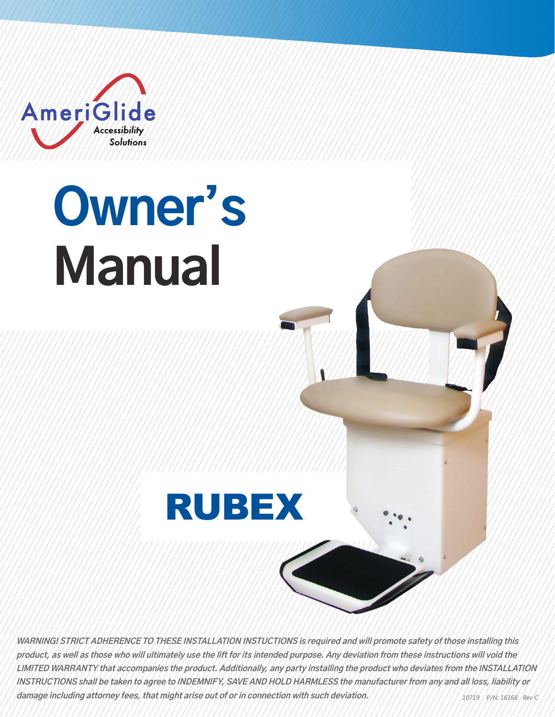

# **Owner's Manual**



*10719 P/N: 16168 Rev C* **WARNING! STRICT ADHERENCE TO THESE INSTALLATION INSTUCTIONS is required and will promote safety of those installing this product, as well as those who will ultimately use the lift for its intended purpose. Any deviation from these instructions will void the LIMITED WARRANTY that accompanies the product. Additionally, any party installing the product who deviates from the INSTALLATION INSTRUCTIONS shall be taken to agree to INDEMNIFY, SAVE AND HOLD HARMLESS the manufacturer from any and all loss, liability or damage including attorney fees, that might arise out of or in connection with such deviation.**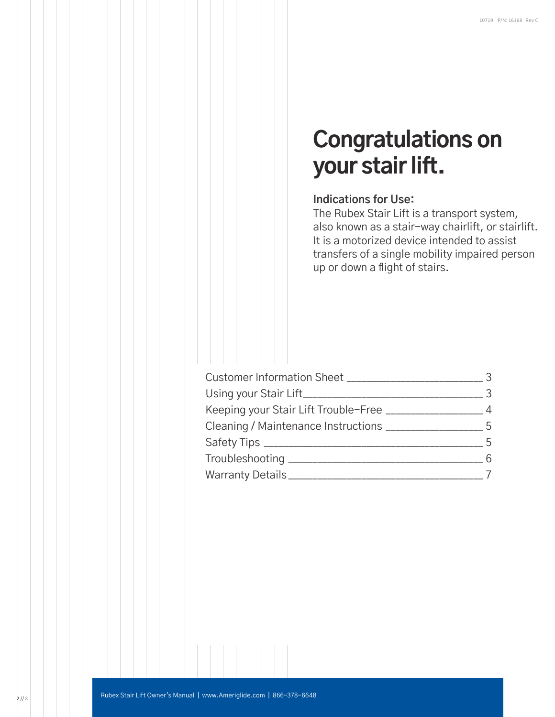## **Congratulations on your stair lift.**

#### **Indications for Use:**

The Rubex Stair Lift is a transport system, also known as a stair-way chairlift, or stairlift. It is a motorized device intended to assist transfers of a single mobility impaired person up or down a flight of stairs.

| Customer Information Sheet __________________________           | $\mathcal{S}$  |
|-----------------------------------------------------------------|----------------|
| Using your Stair Lift________________________                   | $\mathcal{S}$  |
| Keeping your Stair Lift Trouble-Free _______________            | $\overline{4}$ |
| Cleaning / Maintenance Instructions _________<br>$5\frac{1}{2}$ |                |
|                                                                 | -5             |
|                                                                 | 6              |
| Warranty Details___________                                     |                |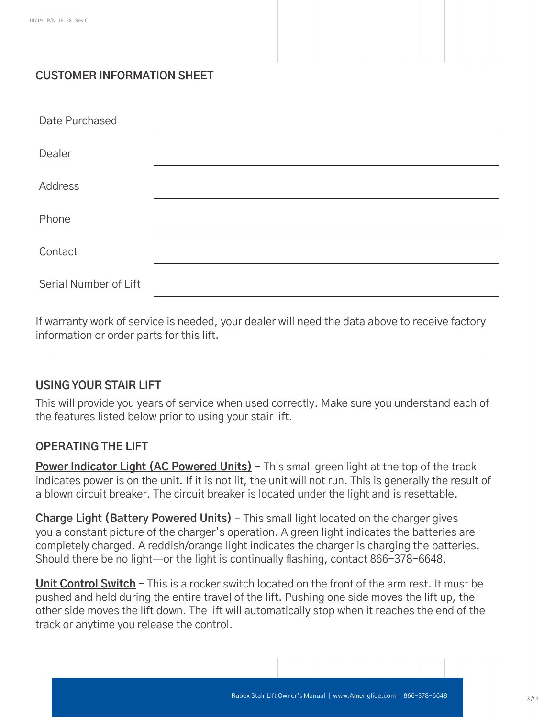### **CUSTOMER INFORMATION SHEET**

| Date Purchased        |  |
|-----------------------|--|
| Dealer                |  |
| Address               |  |
| Phone                 |  |
| Contact               |  |
| Serial Number of Lift |  |

If warranty work of service is needed, your dealer will need the data above to receive factory information or order parts for this lift.

#### **USING YOUR STAIR LIFT**

This will provide you years of service when used correctly. Make sure you understand each of the features listed below prior to using your stair lift.

#### **OPERATING THE LIFT**

**Power Indicator Light (AC Powered Units)** - This small green light at the top of the track indicates power is on the unit. If it is not lit, the unit will not run. This is generally the result of a blown circuit breaker. The circuit breaker is located under the light and is resettable.

**Charge Light (Battery Powered Units)** – This small light located on the charger gives you a constant picture of the charger's operation. A green light indicates the batteries are completely charged. A reddish/orange light indicates the charger is charging the batteries. Should there be no light—or the light is continually flashing, contact 866-378-6648.

**Unit Control Switch** - This is a rocker switch located on the front of the arm rest. It must be pushed and held during the entire travel of the lift. Pushing one side moves the lift up, the other side moves the lift down. The lift will automatically stop when it reaches the end of the track or anytime you release the control.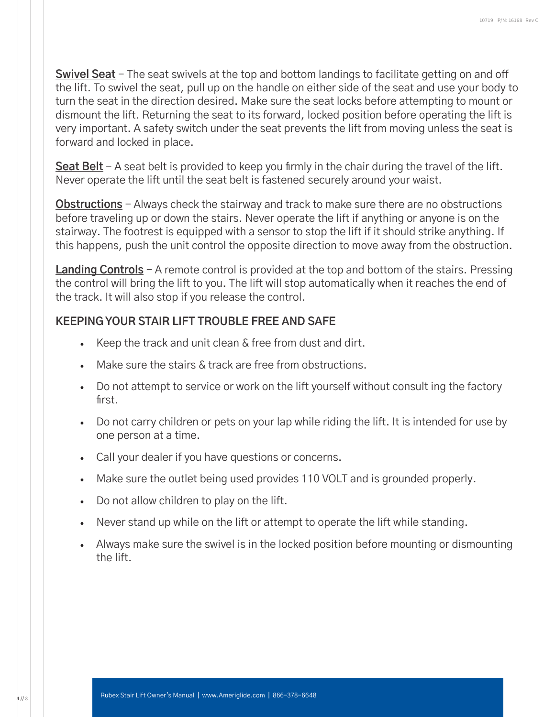**Swivel Seat** - The seat swivels at the top and bottom landings to facilitate getting on and off the lift. To swivel the seat, pull up on the handle on either side of the seat and use your body to turn the seat in the direction desired. Make sure the seat locks before attempting to mount or dismount the lift. Returning the seat to its forward, locked position before operating the lift is very important. A safety switch under the seat prevents the lift from moving unless the seat is forward and locked in place.

**Seat Belt** - A seat belt is provided to keep you firmly in the chair during the travel of the lift. Never operate the lift until the seat belt is fastened securely around your waist.

**Obstructions** - Always check the stairway and track to make sure there are no obstructions before traveling up or down the stairs. Never operate the lift if anything or anyone is on the stairway. The footrest is equipped with a sensor to stop the lift if it should strike anything. If this happens, push the unit control the opposite direction to move away from the obstruction.

**Landing Controls** - A remote control is provided at the top and bottom of the stairs. Pressing the control will bring the lift to you. The lift will stop automatically when it reaches the end of the track. It will also stop if you release the control.

#### **KEEPING YOUR STAIR LIFT TROUBLE FREE AND SAFE**

- Keep the track and unit clean & free from dust and dirt.
- Make sure the stairs & track are free from obstructions.
- Do not attempt to service or work on the lift yourself without consult ing the factory first.
- Do not carry children or pets on your lap while riding the lift. It is intended for use by one person at a time.
- Call your dealer if you have questions or concerns.
- Make sure the outlet being used provides 110 VOLT and is grounded properly.
- Do not allow children to play on the lift.
- Never stand up while on the lift or attempt to operate the lift while standing.
- Always make sure the swivel is in the locked position before mounting or dismounting the lift.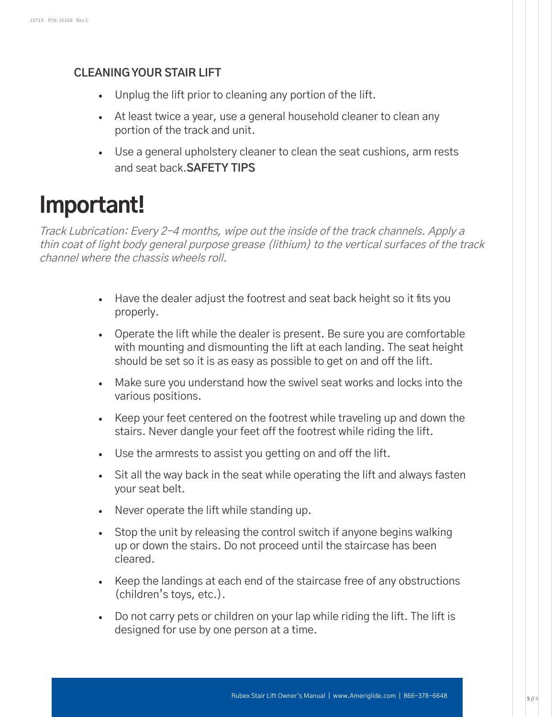#### **CLEANING YOUR STAIR LIFT**

- Unplug the lift prior to cleaning any portion of the lift.
- At least twice a year, use a general household cleaner to clean any portion of the track and unit.
- Use a general upholstery cleaner to clean the seat cushions, arm rests and seat back.**SAFETY TIPS**

## **Important!**

Track Lubrication: Every 2-4 months, wipe out the inside of the track channels. Apply a thin coat of light body general purpose grease (lithium) to the vertical surfaces of the track channel where the chassis wheels roll.

- Have the dealer adjust the footrest and seat back height so it fits you properly.
- Operate the lift while the dealer is present. Be sure you are comfortable with mounting and dismounting the lift at each landing. The seat height should be set so it is as easy as possible to get on and off the lift.
- Make sure you understand how the swivel seat works and locks into the various positions.
- Keep your feet centered on the footrest while traveling up and down the stairs. Never dangle your feet off the footrest while riding the lift.
- Use the armrests to assist you getting on and off the lift.
- Sit all the way back in the seat while operating the lift and always fasten your seat belt.
- Never operate the lift while standing up.
- Stop the unit by releasing the control switch if anyone begins walking up or down the stairs. Do not proceed until the staircase has been cleared.
- Keep the landings at each end of the staircase free of any obstructions (children's toys, etc.).
- Do not carry pets or children on your lap while riding the lift. The lift is designed for use by one person at a time.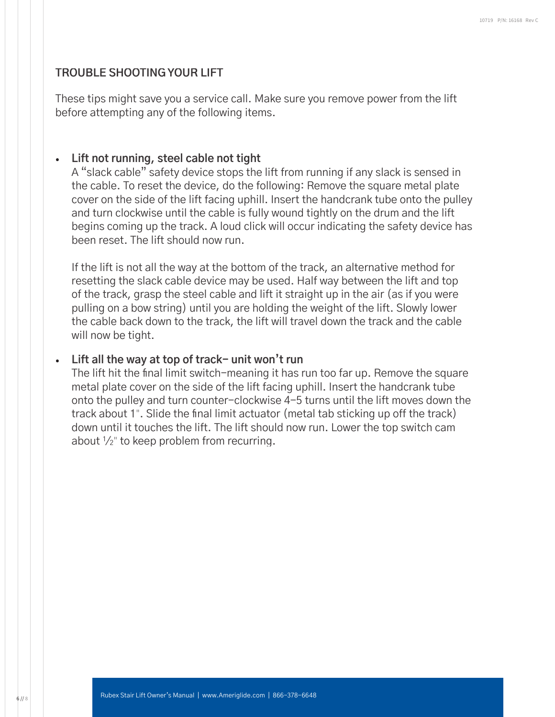#### **TROUBLE SHOOTING YOUR LIFT**

These tips might save you a service call. Make sure you remove power from the lift before attempting any of the following items.

#### • **Lift not running, steel cable not tight**

A "slack cable" safety device stops the lift from running if any slack is sensed in the cable. To reset the device, do the following: Remove the square metal plate cover on the side of the lift facing uphill. Insert the handcrank tube onto the pulley and turn clockwise until the cable is fully wound tightly on the drum and the lift begins coming up the track. A loud click will occur indicating the safety device has been reset. The lift should now run.

If the lift is not all the way at the bottom of the track, an alternative method for resetting the slack cable device may be used. Half way between the lift and top of the track, grasp the steel cable and lift it straight up in the air (as if you were pulling on a bow string) until you are holding the weight of the lift. Slowly lower the cable back down to the track, the lift will travel down the track and the cable will now be tight.

#### • **Lift all the way at top of track- unit won't run**

The lift hit the final limit switch-meaning it has run too far up. Remove the square metal plate cover on the side of the lift facing uphill. Insert the handcrank tube onto the pulley and turn counter-clockwise 4-5 turns until the lift moves down the track about 1". Slide the final limit actuator (metal tab sticking up off the track) down until it touches the lift. The lift should now run. Lower the top switch cam about 1 /2" to keep problem from recurring.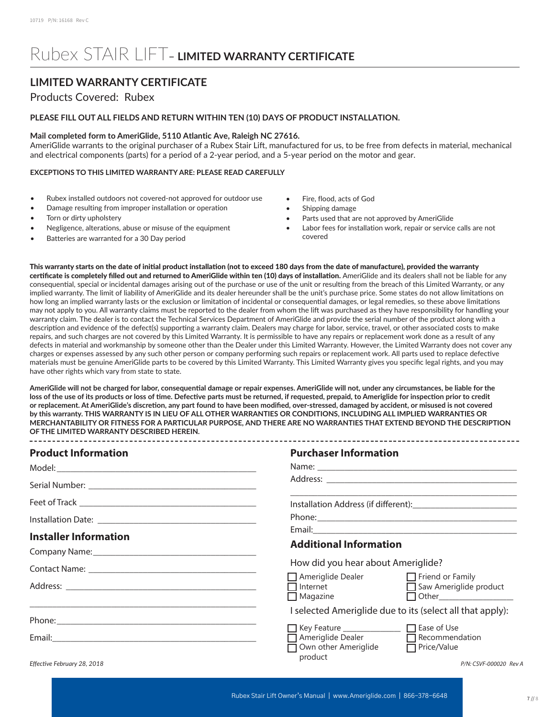## Rubex STAIR LIFT– **LIMITED WARRANTY CERTIFICATE**

#### **LIMITED WARRANTY CERTIFICATE**

#### Products Covered: Rubex

#### **PLEASE FILL OUT ALL FIELDS AND RETURN WITHIN TEN (10) DAYS OF PRODUCT INSTALLATION.**

#### **Mail completed form to AmeriGlide, 5110 Atlantic Ave, Raleigh NC 27616.**

AmeriGlide warrants to the original purchaser of a Rubex Stair Lift, manufactured for us, to be free from defects in material, mechanical and electrical components (parts) for a period of a 2-year period, and a 5-year period on the motor and gear.

#### **EXCEPTIONS TO THIS LIMITED WARRANTY ARE: PLEASE READ CAREFULLY**

- Rubex installed outdoors not covered-not approved for outdoor use
- Damage resulting from improper installation or operation
- Torn or dirty upholstery
- Negligence, alterations, abuse or misuse of the equipment
- Batteries are warranted for a 30 Day period
- Fire, flood, acts of God
- Shipping damage
- Parts used that are not approved by AmeriGlide
- Labor fees for installation work, repair or service calls are not covered

This warranty starts on the date of initial product installation (not to exceed 180 days from the date of manufacture), provided the warranty certificate is completely filled out and returned to AmeriGlide within ten (10) days of installation. AmeriGlide and its dealers shall not be liable for any consequential, special or incidental damages arising out of the purchase or use of the unit or resulting from the breach of this Limited Warranty, or any implied warranty. The limit of liability of AmeriGlide and its dealer hereunder shall be the unit's purchase price. Some states do not allow limitations on how long an implied warranty lasts or the exclusion or limitation of incidental or consequential damages, or legal remedies, so these above limitations may not apply to you. All warranty claims must be reported to the dealer from whom the lift was purchased as they have responsibility for handling your warranty claim. The dealer is to contact the Technical Services Department of AmeriGlide and provide the serial number of the product along with a description and evidence of the defect(s) supporting a warranty claim. Dealers may charge for labor, service, travel, or other associated costs to make repairs, and such charges are not covered by this Limited Warranty. It is permissible to have any repairs or replacement work done as a result of any defects in material and workmanship by someone other than the Dealer under this Limited Warranty. However, the Limited Warranty does not cover any charges or expenses assessed by any such other person or company performing such repairs or replacement work. All parts used to replace defective materials must be genuine AmeriGlide parts to be covered by this Limited Warranty. This Limited Warranty gives you specific legal rights, and you may have other rights which vary from state to state.

**AmeriGlide will not be charged for labor, consequential damage or repair expenses. AmeriGlide will not, under any circumstances, be liable for the loss of the use of its products or loss of time. Defective parts must be returned, if requested, prepaid, to Ameriglide for inspection prior to credit or replacement. At AmeriGlide's discretion, any part found to have been modified, over-stressed, damaged by accident, or misused is not covered by this warranty. THIS WARRANTY IS IN LIEU OF ALL OTHER WARRANTIES OR CONDITIONS, INCLUDING ALL IMPLIED WARRANTIES OR MERCHANTABILITY OR FITNESS FOR A PARTICULAR PURPOSE, AND THERE ARE NO WARRANTIES THAT EXTEND BEYOND THE DESCRIPTION OF THE LIMITED WARRANTY DESCRIBED HEREIN.** 

| <b>Product Information</b>   | <b>Purchaser Information</b>                                                                                                          |  |
|------------------------------|---------------------------------------------------------------------------------------------------------------------------------------|--|
|                              |                                                                                                                                       |  |
|                              |                                                                                                                                       |  |
|                              |                                                                                                                                       |  |
|                              |                                                                                                                                       |  |
|                              |                                                                                                                                       |  |
| <b>Installer Information</b> | <b>Additional Information</b>                                                                                                         |  |
|                              | How did you hear about Ameriglide?                                                                                                    |  |
|                              | Ameriglide Dealer <b>Dealer</b> Friend or Family<br>□ Internet General Dust Baw Ameriglide product<br>$\Box$ Other<br>$\Box$ Magazine |  |
|                              | I selected Ameriglide due to its (select all that apply):                                                                             |  |
|                              | ■ Key Feature _______________ ■ Ease of Use                                                                                           |  |
|                              | Ameriglide Dealer <b>Demandation</b><br>Own other Ameriglide<br>$\Box$ Price/Value                                                    |  |
| Effective February 28, 2018  | product<br>P/N: CSVF-000020 Rev A                                                                                                     |  |